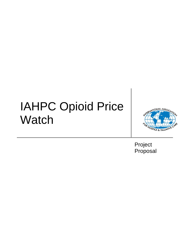# IAHPC Opioid Price **Watch**



Project Proposal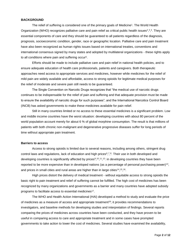### **BACKGROUND**

The relief of suffering is considered one of the primary goals of Medicine<sup>1</sup>. The World Health Organization (WHO) recognizes palliative care and pain relief as critical public health issues<sup>2,3,4</sup>. They are essential components of care and they should be guaranteed to all patients regardless of the diagnosis, prognosis, socioeconomic condition, gender, race or geographic location. Palliative care and pain treatment have also been recognized as human rights issues based on international treaties, conventions and international consensus signed by many states and adopted by multilateral organizations - these rights apply to all conditions where pain and suffering occur<sup>5</sup>.

Efforts should be made to include palliative care and pain relief in national health policies, and to ensure adequate education of health care professionals, patients and caregivers. Both therapeutic approaches need access to appropriate services and medicines, however while medicines for the relief of mild pain are widely available and affordable, access to strong opioids for legitimate medical purposes for the relief of moderate and severe pain still needs to be guaranteed.

The Single Convention on Narcotic Drugs recognizes that "the medical use of narcotic drugs continues to be indispensable for the relief of pain and suffering and that adequate provision must be made to ensure the availability of narcotic drugs for such purposes"; and the International Narcotics Control Board (INCB) has asked governments to make these medicines available for pain relief.

Still in many countries limited or no access to these essential medicines is a significant problem. Low and middle income countries have the worst situation: developing countries with about 80 percent of the world population account merely for about 6 % of global morphine consumption. The result is that millions of patients with both chronic non-malignant and degenerative progressive diseases suffer for long periods of time without appropriate pain treatment.

## **Barriers to access**

Access to strong opioids is limited due to several reasons, including among others, stringent drug control laws and regulations, lack of education and high prices $6,7,8$ . Their use in both developed and developing countries is significantly affected by prices<sup>9,10,11,12</sup>: in developing countries they have been reported to be more expensive than in developed nations (as a percentage of personal purchasing power)<sup>13</sup>, and prices in small cities and rural areas are higher than in large cities<sup>14</sup>,<sup>15</sup>,<sup>16</sup>.

High prices distort the delivery of medical treatment - without equitable access to strong opioids the basic right to pain treatment and relief of suffering cannot be fulfilled. The high cost of medicines has been recognized by many organizations and governments as a barrier and many countries have adopted subsidy programs to facilitate access to essential medicines<sup>17</sup>.

The WHO and Health Action International (HAI) developed a method to study and evaluate the price of medicines as a measure of access and appropriate treatment<sup>18</sup>; it provides recommendations to investigators, and baseline methods for developing studies and interpretation of findings. Several reports comparing the prices of medicines across countries have been conducted, and they have proven to be useful in comparing access to care and appropriate treatment and in some cases have prompted governments to take action to lower the cost of medicines. Several studies have examined the availability,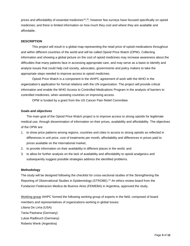prices and affordability of essential medicines<sup>19</sup>,<sup>20</sup>, however few surveys have focused specifically on opioid medicines; and there is limited information on how much they cost and where they are available and affordable.

# **DESCRIPTION**

This project will result in a global map representing the retail price of opioid medications throughout and within different countries of the world and will be called Opioid Price Watch (OPW). Collecting information and showing a global picture on the cost of opioid medicines may increase awareness about the difficulties that many patients face in accessing appropriate care, and may serve as a basis to identify and analyze issues that could help civil society, advocates, governments and policy makers to take the appropriate steps needed to improve access to opioid medicines.

Opioid Price Watch is a component in the IAHPC agreement of work with the WHO in the organization's application for formal relations with the UN organization. The project will provide critical information and enable the WHO Access to Controlled Medications Program in the analysis of barriers to controlled medicines, when assisting countries on improving access.

OPW is funded by a grant from the US Cancer Pain Relief Committee.

## **Goals and objectives**

The main goal of the Opioid Price Watch project is to improve access to strong opioids for legitimate medical use, through dissemination of information on their prices, availability and affordability. The objectives of the OPW are:

- 1. to show price patterns among regions, countries and cities in access to strong opioids as reflected in differences in unit price, cost of treatments per month, affordability and differences in prices paid to prices available on the international market,
- 2. to provide information on their availability in different places in the world, and
- 3. to allow for further analysis on the lack of availability and affordability to opioid analgesics and subsequently suggest possible strategies address the identified problems.

## **Methodology**

The study will be designed following the checklist for cross-sectional studies of the Strengthening the Reporting of Observational Studies in Epidemiology (STROBE).<sup>21</sup> An ethics review board from the Fundacion Federacion Medica de Buenos Aires (FEMEBA) in Argentina, approved the study.

Working group IAHPC formed the following working group of experts in the field, composed of board members and representatives of organizations working in global issues:

Liliana De Lima (USA)

Tania Pastrana (Germany)

Lukas Radbruch (Germany)

Roberto Wenk (Argentina)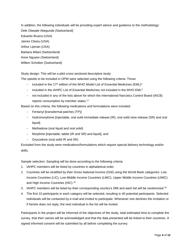In addition, the following individuals will be providing expert advice and guidance to the methodology: Dele Olawale Abegunde (Switzerland) Eduardo Bruera (USA) James Cleary (USA) Arthur Lipman (USA) Barbara Milani (Switzerland) Anne Nguyen (Switzerland) Willem Scholten (Switzerland)

Study design: This will be a pilot cross-sectional descriptive study.

The opioids to be included in OPW were selected using the following criteria: Those

- included in the 17<sup>th</sup> edition of the WHO Model List of Essential Medicines (EML)<sup>4</sup>
- included in the IAHPC List of Essential Medicines not included in the WHO EML<sup>5</sup>
- not included in any of the lists above for which the International Narcotics Control Board (INCB) reports consumption by member states.<sup>17</sup>

Based on this criteria, the following medications and formulations were included:

- $-$  Fentanyl [transdermal patches (TP)]
- Hydromorphone [injectable, oral solid immediate release (IR), oral solid slow release (SR) and oral liquid]
- Methadone (oral liquid and oral solid)
- Morphine [injectable, tablet (IR and SR) and liquid], and
- Oxycodone (oral solid IR and SR)

Excluded from the study were medications/formulations which require special delivery technology and/or skills.

Sample selection: Sampling will be done according to the following criteria:

- 1. IAHPC members will be listed by countries in alphabetical order.
- 2. Countries will be stratified by their Gross National Income (GNI) using the World Bank categories: Low Income Countries (LIC), Low Middle Income Countries (LMIC), Upper Middle Income Countries (UMIC) and High Income Countries (HIC).<sup>18</sup>
- 3. IAHPC members will be listed by their corresponding country's GNI and each list will be randomized.<sup>19</sup>
- 4. The first 10 participants in each category will be selected, resulting in 40 potential participants. Selected individuals will be contacted by e-mail and invited to participate. Whenever one declines the invitation or if he/she does not reply, the next individual in the list will be invited.

Participants in the project will be informed of the objectives of the study, total estimated time to complete the survey, that their names will be acknowledged and that the data presented will be linked to their countries. A signed informed consent will be submitted by all before completing the survey.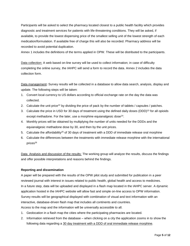Participants will be asked to select the pharmacy located closest to a public health facility which provides diagnostic and treatment services for patients with life-threatening conditions. They will be asked, if available, to provide the lowest dispensing price of the smallest selling unit of the lowest strength of each medication/formulation. If available free of charge this will also be recorded. Pharmacy address will be recorded to avoid potential duplication.

Annex 1 includes the definitions of the terms applied in OPW. These will be distributed to the participants.

Data collection: A web based on-line survey will be used to collect information; in case of difficulty completing the online survey, the IAHPC will send a form to record the data. Annex 2 includes the data collection form.

Data management**:** Survey results will be collected in a database to allow data search, analysis, display and update. The following steps will be taken:

- 1. Convert local currency to US dollars according to official exchange rate on the day the data was collected.
- 2. Calculate the unit price<sup>22</sup> by dividing the price of pack by the number of tablets / capsules / patches.
- 3. Calculate the price in USD for 30 days of treatment using the defined daily doses (DDD)<sup>23</sup> for all opioids except methadone. For the later, use a morphine equianalgesic dose<sup>24</sup>.
- 4. Monthly prices will be obtained by multiplying the number of units needed for the DDDs and the equianalgesic methadone dose by 30, and then by the unit prices.
- 5. Calculate the affordability<sup>25</sup> of 30 days of treatment with a DDD of immediate release oral morphine
- 6. Calculate the differences between the treatments with immediate release morphine with the international prices<sup>26</sup>

Data Analysis and discussion of the results: The working group will analyze the results, discuss the findings and offer possible interpretations and reasons behind the findings.

# **Reporting and dissemination**

A paper will be prepared with the results of the OPW pilot study and submitted for publication in a peer reviewed journal with interest in issues related to public health, global health and access to medicines. In a future step, data will be uploaded and displayed in a flash map located in the IAHPC server. A dynamic application hosted in the IAHPC website will allow fast and simple on-line access to OPW information. Survey results will be geographical displayed with combination of visual and text information with an interactive, database-driven flash map that includes all continents and countries. Access to the map and the information will be universally accessible to all.

- 1. Geolocation in a flash map the cities where the participating pharmacies are located.
- 2. Information retrieved from the database when clicking on a city the application zooms in to show the following data regarding a 30 day treatment with a DDD of oral immediate release morphine.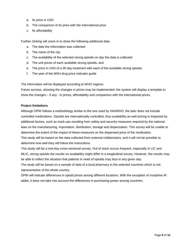- a. Its price in USD
- b. The comparison of its price with the international price
- c. Its affordability

Further clicking will zoom in to show the following additional data.

- a. The date the information was collected
- b. The name of the city
- c. The availability of the selected strong opioids on day the data is collected
- d. The unit prices of each available strong opioids, and
- e. The price in USD of a 30 day treatment with each of the available strong opioids.
- f. The year of the MSH drug price indicator guide

The information will be displayed according to WHO regions.

Future surveys, showing the changes in prices may be implemented; the system will display a template to show the changes – if any - in prices, affordability and comparison with the international prices.

## **Project limitations**

Although OPW follows a methodology similar to the one used by HAI/WHO, the later does not include controlled medications. Opioids are internationally controlled, thus availability as well pricing is impacted by additional factors, such as mark-ups resulting from safety and security measures required by the national laws on the manufacturing, importation, distribution, storage and dispensation. This survey will be unable to determine the extent of the impact of these measures on the dispensed price of the medication. This study will be based on the data collected from external collaborators, and it will not be possible to determine how well they will follow the instructions.

This study will be a one-day cross-sectional survey. Out of stock occurs frequent, especially in LIC and MLIC, strong opioids the results on availability might differ in a longitudinal survey. However, the results may be able to reflect the situation that patients in need of opioids may face in any given day.

The study will be based on a sample of data of a local pharmacy in the selected countries which is not representative of the whole country.

OPW will indicate differences in opioid prices among different locations. With the exception of morphine IR tablet, it does not take into account the differences in purchasing power among countries.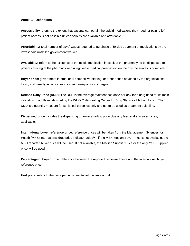## **Annex 1 - Definitions**

**Accessibility** refers to the extent that patients can obtain the opioid medications they need for pain relief patient access is not possible unless opioids are available and affordable.

**Affordability:** total number of days' wages required to purchase a 30-day treatment of medications by the lowest paid unskilled government worker.

**Availability:** refers to the existence of the opioid medication in stock at the pharmacy, to be dispensed to patients arriving at the pharmacy with a legitimate medical prescription on the day the survey is completed.

**Buyer price:** government international competitive bidding, or tender price obtained by the organizations listed, and usually include insurance and transportation charges.

**Defined Daily Dose (DDD):** The DDD is the average maintenance dose per day for a drug used for its main indication in adults established by the WHO Collaborating Centre for Drug Statistics Methodology<sup>21</sup>. The DDD is a quantity measure for statistical purposes only and not to be used as treatment guideline.

**Dispensed price** includes the dispensing pharmacy selling price plus any fees and any sales taxes, if applicable.

**International buyer reference price:** reference prices will be taken from the Management Sciences for Health (MHS) international drug price indicator guide<sup>24</sup> - if the MSH Median Buyer Price is not available, the MSH reported buyer price will be used. If not available, the Median Supplier Price or the only MSH Supplier price will be used.

**Percentage of buyer price:** difference between the reported dispensed price and the international buyer reference price.

**Unit price:** refers to the price per individual tablet, capsule or patch.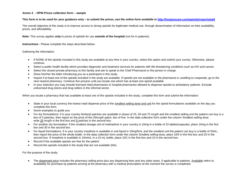#### **Annex 2 - OPW Prices collection form – sample**

#### **This form is to be used for your guidance only – to submit the prices, use the online form available in<http://hospicecare.com/opioids/reports/add>**

The overall objective of this study is to improve access to strong opioids for legitimate medical use, through dissemination of information on their availability, prices, and affordability.

**Note:** This survey applies **only** to prices of opioids for use **outside of the hospital** (not for in-patients).

**Instructions -** Please complete the steps described below.

Gathering the information:

- If NONE of the opioids included in this study are available at any time in your country, select this option and submit your survey. Otherwise, please continue.
- Select a public health facility which provides diagnostic and treatment services for patients with life-threatening conditions such as HIV and cancer.
- Select the closest private pharmacy to this facility and ask to speak to the Chief Pharmacist or the person in charge.
- Show him/her the letter introducing you as a participant in this study.
- Inquire if at least one of the opioids included in the study are available. If opioids are not available or the pharmacist is unwilling to cooperate, go to the next nearest pharmacy. Continue this process until you locate one which has at least one opioid available.
- In your selection you may include licensed retail pharmacies or hospital pharmacies allowed to dispense opioids to ambulatory patients. Exclude unlicensed drug stores and drug sellers in the informal sector.

When you locate a pharmacy that has available at least one of the opioids included in the study, complete this form and submit the information:

- State in your local currency the lowest retail dispense price of the smallest selling dose and unit for the opioid formulations available on the day you complete this form.
- Some examples to guide you:
- For dry formulations: if in your country fentanyl patches are available in doses of 25, 50 and 75 mcg/h and the smallest selling unit the patient can buy is a box of 5 patches, then report on the price of the 25mcg/h patch, box of five. In the data collection form under the column Smallest selling dose write 25 mcg/h in the first box and 5 patches in the second box.
- For another dry formulation: If the smallest dosage unit of methadone in your country is 10mg in a bottle of 10 tablets/capsules, place 10mg in the first box and 30 in the second box.
- For liquid formulations: if in your country morphine is available in oral liquid in 10mg/5mL and the smallest unit the patient can buy is a bottle of 20mL, then report the price of the whole bottle. In the data collection form under the column Smallest selling dose, place 10/5 in the first box and 20 in the second box. If morphine is available in 10m/mL in a 10 mL bottle, place 10/1 in the first box and 10 in the second box.
- Record if the available opioids are free for the patient
- Record the opioids included in the study that are not available (NA).

For the purpose of the study:

• The dispensed price includes the pharmacy selling price plus any dispensing fees and any sales taxes, if applicable to patients. Available refers to availability for purchase by patients arriving at the pharmacy with a medical prescription at the moment the survey is completed.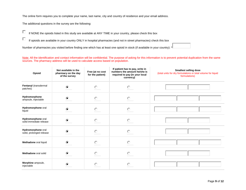The online form requires you to complete your name, last name, city and country of residence and your email address.

The additional questions in the survey are the following:

 $\Box$ 

 $\Box$ If NONE the opioids listed in this study are available at ANY TIME in your country, please check this box

If opioids are available in your country ONLY in hospital pharmacies (and not in street pharmacies) check this box

Number of pharmacies you visited before finding one which has at least one opioid in stock (if available in your country): \*

Note: All the identification and contact information will be confidential. The purpose of asking for this information is to prevent potential duplication from the same sources. The pharmacy address will be used to calculate access based on population.

| Opioid                                         | Not available in the<br>pharmacy on the day<br>of the survey | Free (at no cost<br>for the patient) | If patient has to pay, write in<br>numbers the amount he/she is<br>required to pay (in your local<br>currency) | <b>Smallest selling dose</b><br>(total units for dry formulations or total volume for liquid<br>formulations) |
|------------------------------------------------|--------------------------------------------------------------|--------------------------------------|----------------------------------------------------------------------------------------------------------------|---------------------------------------------------------------------------------------------------------------|
| Fentanyl (transdermal<br>patches)              | $\bullet$                                                    | $\bigcirc$                           | $\bigcirc$                                                                                                     |                                                                                                               |
| Hydromorphone<br>ampoule, injectable           | $\bullet$                                                    | $\bigcirc$                           | $\bigcirc$                                                                                                     |                                                                                                               |
| Hydromorphone oral<br>liquid                   | $\bullet$                                                    | $\circ$                              | $\circ$                                                                                                        |                                                                                                               |
| Hydromorphone oral<br>solid immediate release  | $\bullet$                                                    | $\bigcirc$                           | $\bigcirc$                                                                                                     |                                                                                                               |
| Hydromorphone oral<br>solid, prolonged release | $\bullet$                                                    | $\circ$                              | $\circ$                                                                                                        |                                                                                                               |
| Methadone oral liquid                          | $\bullet$                                                    | $\circ$                              | $\circ$                                                                                                        |                                                                                                               |
| Methadone oral solid                           | $\bullet$                                                    | $\bigcirc$                           | $\bigcirc$                                                                                                     |                                                                                                               |
| Morphine ampoule,<br>injectable                | $\bullet$                                                    | $\circ$                              | $\bigcirc$                                                                                                     |                                                                                                               |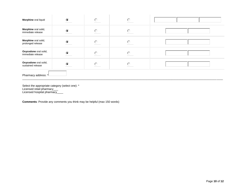| Morphine oral liquid                       | $\bullet$ | $\circ$ | $\circ$   |  |  |  |
|--------------------------------------------|-----------|---------|-----------|--|--|--|
| Morphine oral solid,<br>immediate release  | $\bullet$ | ∩       | O         |  |  |  |
| Morphine oral solid,<br>prolonged release  | $\bullet$ | ∩       | ∩         |  |  |  |
| Oxycodone oral solid,<br>immediate release | $\bullet$ |         | ∩         |  |  |  |
| Oxycodone oral solid,<br>sustained release | $\bullet$ | ∩       | $\bigcap$ |  |  |  |
| Pharmacy address: *                        |           |         |           |  |  |  |

Select the appropriate category (select one): \* Licensed retail pharmacy\_\_\_ Licensed hospital pharmacy\_\_\_\_

**Comments**: Provide any comments you think may be helpful (max 150 words)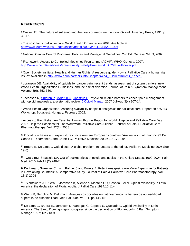# **REFERENCES**

 $\overline{a}$ 

<sup>1</sup> Cassell EJ. The nature of suffering and the goals of medicine. London: Oxford University Press; 1991. p. 30-47.

 $2$  The solid facts: palliative care. World Health Organization 2004. Available at [http://www.euro.who.int/\\_\\_data/assets/pdf\\_file/0003/98418/E82931.pdf](http://www.euro.who.int/__data/assets/pdf_file/0003/98418/E82931.pdf)

<sup>3</sup> National Cancer Control Programs: Policies and Managerial Guidelines, 2nd Ed. Geneva: WHO, 2002.

<sup>4</sup> Framework\_Access to Controlled Medicines Programme (ACMP), WHO, Geneva, 2007. [http://www.who.int/medicines/areas/quality\\_safety/Framework\\_ACMP\\_withcover.pdf](http://www.who.int/medicines/areas/quality_safety/Framework_ACMP_withcover.pdf)

<sup>5</sup> Open Society Institute. Health and Human Rights: A resource guide. How is Palliative Care a human right issue? Available in [http://www.equalpartners.info/Chapter4/ch4\\_1How.html#ch4\\_1anch2](http://www.equalpartners.info/Chapter4/ch4_1How.html#ch4_1anch2)

<sup>6</sup> Joranson DE. Availability of opioids for cancer pain: recent trends, assessment of system barriers, new World Health Organization Guidelines, and the risk of diversion. Journal of Pain & Symptom Management, Volume 8(6): 353-360.

<sup>7</sup> Jacobsen R, [Sjøgren P,](http://www.ncbi.nlm.nih.gov/pubmed?term=%22Sj%C3%B8gren%20P%22%5BAuthor%5D) [Møldrup C,](http://www.ncbi.nlm.nih.gov/pubmed?term=%22M%C3%B8ldrup%20C%22%5BAuthor%5D) [Christrup L.](http://www.ncbi.nlm.nih.gov/pubmed?term=%22Christrup%20L%22%5BAuthor%5D) Physician-related barriers to cancer pain management with opioid analgesics: a systematic review. [J Opioid Manag.](javascript:AL_get(this,%20) 2007 Jul-Aug;3(4):207-14.

<sup>8</sup> World Health Organization. Assuring availability of opioid analgesics for palliative care. Report on a WHO Workshop. Budapest, Hungary. February 2002.

<sup>9</sup> Access to Pain Relief: An Essential Human Right A Report for World Hospice and Palliative Care Day 2007. Help the Hospices for The Worldwide Palliative Care Alliance. Journal of Pain & Palliative Care Pharmacotherapy, Vol. 22(2), 2008

<sup>10</sup> Opioid purchases and expenditure in nine western European countries: 'Are we killing off morphine? De Conno F, Ripamonti C and Brunelli C. Palliative Medicine 2005; 19: 179-184.

<sup>11</sup> Bruera E, De Lima L. Opioid cost: A global problem. In: Letters to the editor. Palliative Medicine 2005 Sep 19(6):

<sup>12</sup> Craig BM, Strassels SA. Out-of-pocket prices of opioid analgesics in the United States, 1999-2004. Pain Med. 2010 Feb;11 (2):240-7.

<sup>13</sup> De Lima L, Sweeney C, Lynn Palmer J and Bruera E. Potent Analgesics Are More Expensive for Patients in Developing Countries: A Comparative Study. Journal of Pain & Palliative Care Pharmacotherapy, Vol. 18(1) 2004

14 Sjernsward J, Bruera E, Joranson B, Allende s, Montejo O. Quesada L el al. Opioid availability in Latin America: the declaration of Florianopolis. J Palliat Care 1994;10:11-4.

<sup>15</sup> Wenk R, Bertolino M, DeLima L. Analgésicos opioides en Latinoamérica: la barrera de accesibilidad supera la de disponibilidad. Med Pal 2004; vol. 11, pp 148-151.

<sup>16</sup> De Lima L., Bruera E., Joranson D. Vanegas G, Cepeda S, Quesada L. Opioid availability in Latin America: The Santo Domingo report-progress since the declaration of Florianopolis. J Pain Symptom Manage 1997; 13: 213-9.